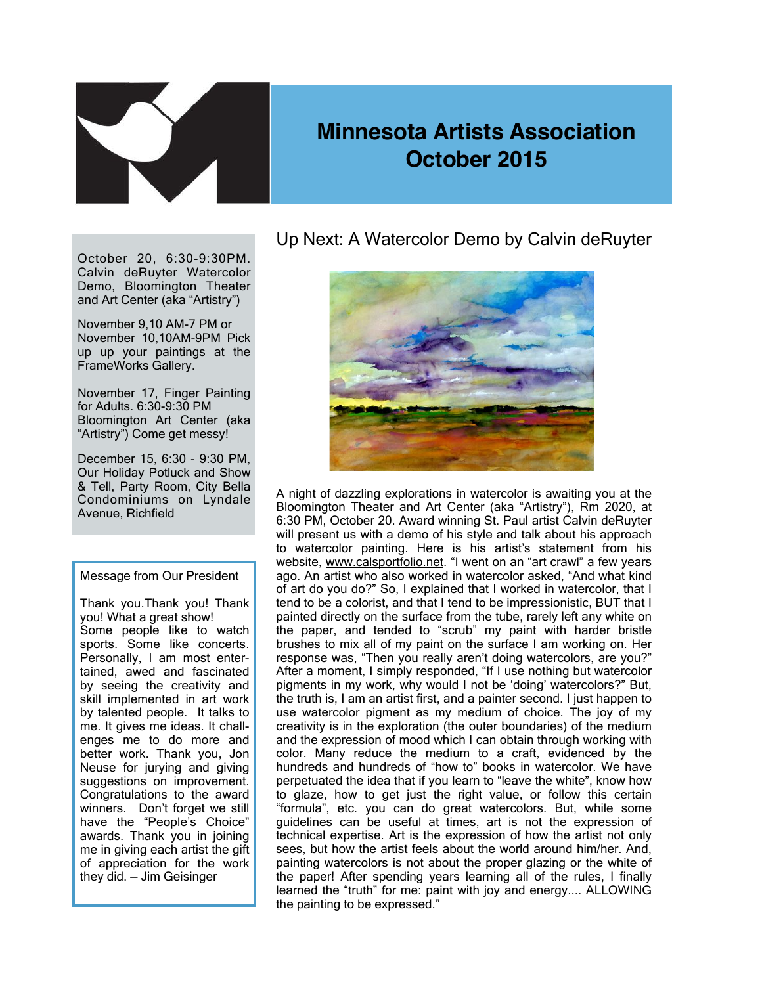

# **Minnesota Artists Association October 2015**

October 20, 6:30-9:30PM. Calvin deRuyter Watercolor Demo, Bloomington Theater and Art Center (aka "Artistry")

November 9,10 AM-7 PM or November 10,10AM-9PM Pick up up your paintings at the FrameWorks Gallery.

November 17, Finger Painting for Adults. 6:30-9:30 PM Bloomington Art Center (aka "Artistry") Come get messy!

December 15, 6:30 - 9:30 PM, Our Holiday Potluck and Show & Tell, Party Room, City Bella Condominiums on Lyndale Avenue, Richfield

#### Message from Our President

Thank you.Thank you! Thank you! What a great show! Some people like to watch sports. Some like concerts. Personally, I am most entertained, awed and fascinated by seeing the creativity and skill implemented in art work by talented people. It talks to me. It gives me ideas. It challenges me to do more and better work. Thank you, Jon Neuse for jurying and giving suggestions on improvement. Congratulations to the award winners. Don't forget we still have the "People's Choice" awards. Thank you in joining me in giving each artist the gift of appreciation for the work they did. — Jim Geisinger

#### Up Next: A Watercolor Demo by Calvin deRuyter



A night of dazzling explorations in watercolor is awaiting you at the Bloomington Theater and Art Center (aka "Artistry"), Rm 2020, at 6:30 PM, October 20. Award winning St. Paul artist Calvin deRuyter will present us with a demo of his style and talk about his approach to watercolor painting. Here is his artist's statement from his website, [www.calsportfolio.net](http://www.calsportfolio.net). "I went on an "art crawl" a few years ago. An artist who also worked in watercolor asked, "And what kind of art do you do?" So, I explained that I worked in watercolor, that I tend to be a colorist, and that I tend to be impressionistic, BUT that I painted directly on the surface from the tube, rarely left any white on the paper, and tended to "scrub" my paint with harder bristle brushes to mix all of my paint on the surface I am working on. Her response was, "Then you really aren't doing watercolors, are you?" After a moment, I simply responded, "If I use nothing but watercolor pigments in my work, why would I not be 'doing' watercolors?" But, the truth is, I am an artist first, and a painter second. I just happen to use watercolor pigment as my medium of choice. The joy of my creativity is in the exploration (the outer boundaries) of the medium and the expression of mood which I can obtain through working with color. Many reduce the medium to a craft, evidenced by the hundreds and hundreds of "how to" books in watercolor. We have perpetuated the idea that if you learn to "leave the white", know how to glaze, how to get just the right value, or follow this certain "formula", etc. you can do great watercolors. But, while some guidelines can be useful at times, art is not the expression of technical expertise. Art is the expression of how the artist not only sees, but how the artist feels about the world around him/her. And, painting watercolors is not about the proper glazing or the white of the paper! After spending years learning all of the rules, I finally learned the "truth" for me: paint with joy and energy.... ALLOWING the painting to be expressed."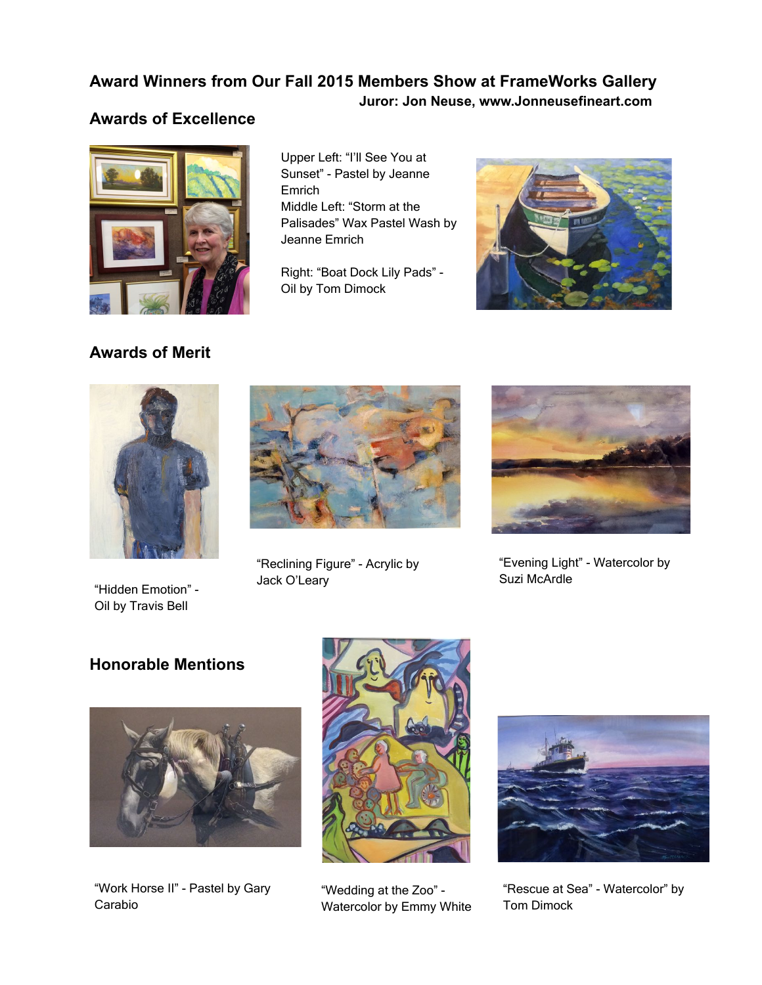### **Award Winners from Our Fall 2015 Members Show at FrameWorks Gallery**

 **Juror: Jon Neuse, www.Jonneusefineart.com**

## **Awards of Excellence**



Upper Left: "I'll See You at Sunset" - Pastel by Jeanne Emrich Middle Left: "Storm at the Palisades" Wax Pastel Wash by Jeanne Emrich

Right: "Boat Dock Lily Pads" - Oil by Tom Dimock



**Awards of Merit**



"Hidden Emotion" - Oil by Travis Bell



"Reclining Figure" - Acrylic by Jack O'Leary



"Evening Light" - Watercolor by Suzi McArdle

# **Honorable Mentions**



"Work Horse II" - Pastel by Gary Carabio



"Wedding at the Zoo" - Watercolor by Emmy White



"Rescue at Sea" - Watercolor" by Tom Dimock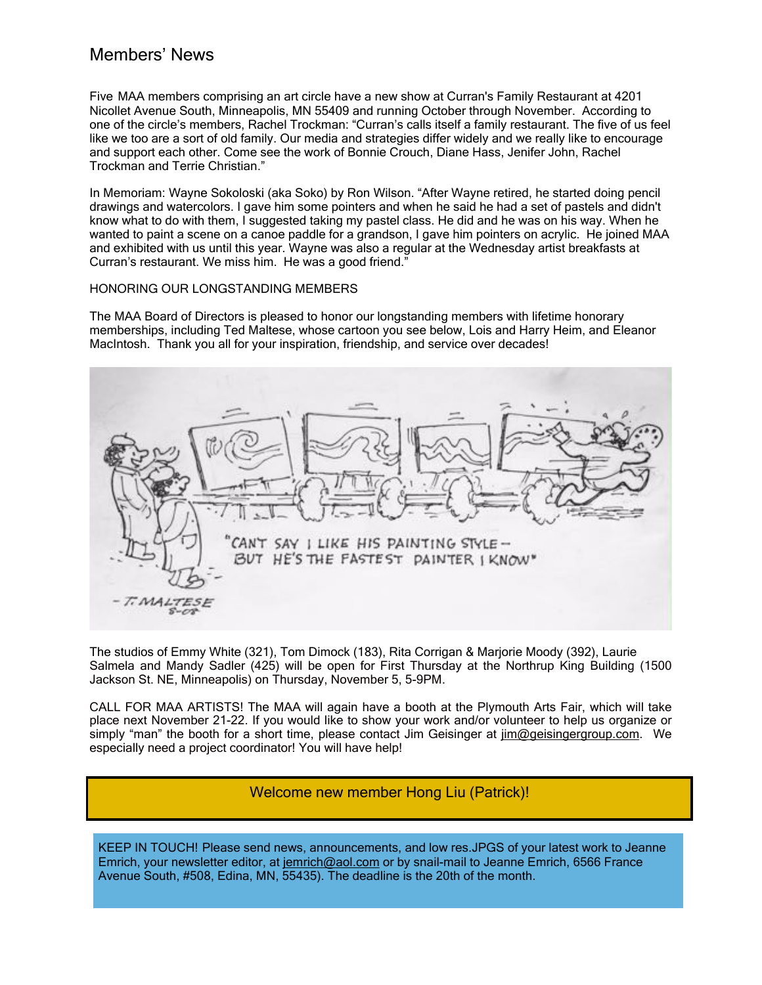### Members' News

Five MAA members comprising an art circle have a new show at Curran's Family Restaurant at 4201 Nicollet Avenue South, Minneapolis, MN 55409 and running October through November. According to one of the circle's members, Rachel Trockman: "Curran's calls itself a family restaurant. The five of us feel like we too are a sort of old family. Our media and strategies differ widely and we really like to encourage and support each other. Come see the work of Bonnie Crouch, Diane Hass, Jenifer John, Rachel Trockman and Terrie Christian."

In Memoriam: Wayne Sokoloski (aka Soko) by Ron Wilson. "After Wayne retired, he started doing pencil drawings and watercolors. I gave him some pointers and when he said he had a set of pastels and didn't know what to do with them, I suggested taking my pastel class. He did and he was on his way. When he wanted to paint a scene on a canoe paddle for a grandson, I gave him pointers on acrylic. He joined MAA and exhibited with us until this year. Wayne was also a regular at the Wednesday artist breakfasts at Curran's restaurant. We miss him. He was a good friend.<sup>3</sup>

#### HONORING OUR LONGSTANDING MEMBERS

The MAA Board of Directors is pleased to honor our longstanding members with lifetime honorary memberships, including Ted Maltese, whose cartoon you see below, Lois and Harry Heim, and Eleanor MacIntosh. Thank you all for your inspiration, friendship, and service over decades!



The studios of Emmy White (321), Tom Dimock (183), Rita Corrigan & Marjorie Moody (392), Laurie Salmela and Mandy Sadler (425) will be open for First Thursday at the Northrup King Building (1500 Jackson St. NE, Minneapolis) on Thursday, November 5, 5-9PM.

CALL FOR MAA ARTISTS! The MAA will again have a booth at the Plymouth Arts Fair, which will take place next November 21-22. If you would like to show your work and/or volunteer to help us organize or simply "man" the booth for a short time, please contact Jim Geisinger at [jim@geisingergroup.com.](mailto:jim@geisingergroup.com) We especially need a project coordinator! You will have help!

#### Welcome new member Hong Liu (Patrick)!

KEEP IN TOUCH! Please send news, announcements, and low res.JPGS of your latest work to Jeanne Emrich, your newsletter editor, at [jemrich@aol.com](mailto:jemrich@aol.com) or by snail-mail to Jeanne Emrich, 6566 France Avenue South, #508, Edina, MN, 55435). The deadline is the 20th of the month.